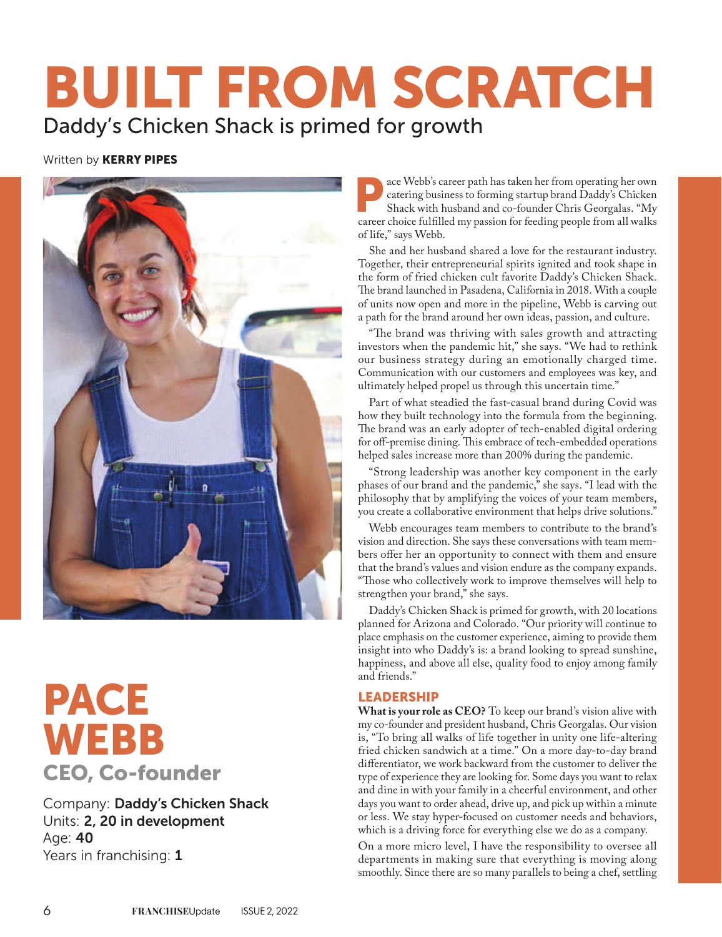# BUILT FROM SCRATCH Daddy's Chicken Shack is primed for growth

### Written by **KERRY PIPES**



# PACE WEBB CEO, Co-founder

Company: Daddy's Chicken Shack Units: 2, 20 in development Age: 40 Years in franchising: 1

ace Webb's career path has taken her from operating her own catering business to forming startup brand Daddy's Chicken Shack with husband and co-founder Chris Georgalas. "My career choice fulfilled my passion for feeding people from all walks of life," says Webb.

She and her husband shared a love for the restaurant industry. Together, their entrepreneurial spirits ignited and took shape in the form of fried chicken cult favorite Daddy's Chicken Shack. The brand launched in Pasadena, California in 2018. With a couple of units now open and more in the pipeline, Webb is carving out a path for the brand around her own ideas, passion, and culture.

"The brand was thriving with sales growth and attracting investors when the pandemic hit," she says. "We had to rethink our business strategy during an emotionally charged time. Communication with our customers and employees was key, and ultimately helped propel us through this uncertain time."

Part of what steadied the fast-casual brand during Covid was how they built technology into the formula from the beginning. The brand was an early adopter of tech-enabled digital ordering for off-premise dining. This embrace of tech-embedded operations helped sales increase more than 200% during the pandemic.

"Strong leadership was another key component in the early phases of our brand and the pandemic," she says. "I lead with the philosophy that by amplifying the voices of your team members, you create a collaborative environment that helps drive solutions."

Webb encourages team members to contribute to the brand's vision and direction. She says these conversations with team members offer her an opportunity to connect with them and ensure that the brand's values and vision endure as the company expands. "Those who collectively work to improve themselves will help to strengthen your brand," she says.

Daddy's Chicken Shack is primed for growth, with 20 locations planned for Arizona and Colorado. "Our priority will continue to place emphasis on the customer experience, aiming to provide them insight into who Daddy's is: a brand looking to spread sunshine, happiness, and above all else, quality food to enjoy among family and friends."

#### LEADERSHIP

**What is your role as CEO?** To keep our brand's vision alive with my co-founder and president husband, Chris Georgalas. Our vision is, "To bring all walks of life together in unity one life-altering fried chicken sandwich at a time." On a more day-to-day brand differentiator, we work backward from the customer to deliver the type of experience they are looking for. Some days you want to relax and dine in with your family in a cheerful environment, and other days you want to order ahead, drive up, and pick up within a minute or less. We stay hyper-focused on customer needs and behaviors, which is a driving force for everything else we do as a company.

On a more micro level, I have the responsibility to oversee all departments in making sure that everything is moving along smoothly. Since there are so many parallels to being a chef, settling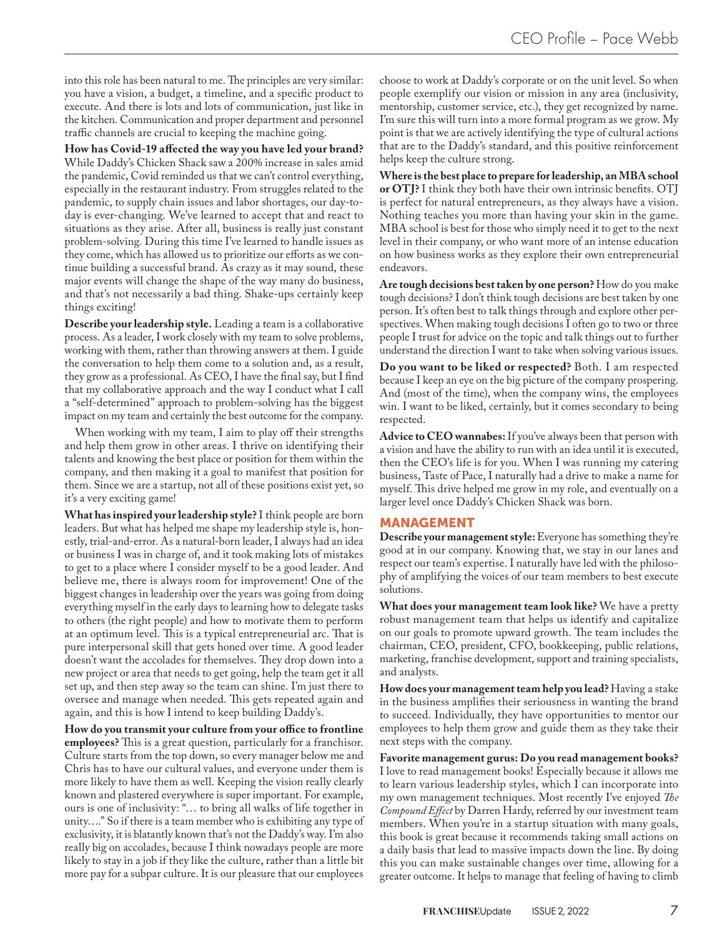into this role has been natural to me. The principles are very similar: you have a vision, a budget, a timeline, and a specific product to execute. And there is lots and lots of communication, just like in the kitchen. Communication and proper department and personnel traffic channels are crucial to keeping the machine going.

**How has Covid-19 a!ected the way you have led your brand?**  While Daddy's Chicken Shack saw a 200% increase in sales amid the pandemic, Covid reminded us that we can't control everything, especially in the restaurant industry. From struggles related to the pandemic, to supply chain issues and labor shortages, our day-today is ever-changing. We've learned to accept that and react to situations as they arise. After all, business is really just constant problem-solving. During this time I've learned to handle issues as they come, which has allowed us to prioritize our efforts as we continue building a successful brand. As crazy as it may sound, these major events will change the shape of the way many do business, and that's not necessarily a bad thing. Shake-ups certainly keep things exciting!

**Describe your leadership style.** Leading a team is a collaborative process. As a leader, I work closely with my team to solve problems, working with them, rather than throwing answers at them. I guide the conversation to help them come to a solution and, as a result, they grow as a professional. As CEO, I have the final say, but I find that my collaborative approach and the way I conduct what I call a "self-determined" approach to problem-solving has the biggest impact on my team and certainly the best outcome for the company.

When working with my team, I aim to play off their strengths and help them grow in other areas. I thrive on identifying their talents and knowing the best place or position for them within the company, and then making it a goal to manifest that position for them. Since we are a startup, not all of these positions exist yet, so it's a very exciting game!

**What has inspired your leadership style?** I think people are born leaders. But what has helped me shape my leadership style is, honestly, trial-and-error. As a natural-born leader, I always had an idea or business I was in charge of, and it took making lots of mistakes to get to a place where I consider myself to be a good leader. And believe me, there is always room for improvement! One of the biggest changes in leadership over the years was going from doing everything myself in the early days to learning how to delegate tasks to others (the right people) and how to motivate them to perform at an optimum level. This is a typical entrepreneurial arc. That is pure interpersonal skill that gets honed over time. A good leader doesn't want the accolades for themselves. They drop down into a new project or area that needs to get going, help the team get it all set up, and then step away so the team can shine. I'm just there to oversee and manage when needed. This gets repeated again and again, and this is how I intend to keep building Daddy's.

**How do you transmit your culture from your o"ce to frontline employees?** This is a great question, particularly for a franchisor. Culture starts from the top down, so every manager below me and Chris has to have our cultural values, and everyone under them is more likely to have them as well. Keeping the vision really clearly known and plastered everywhere is super important. For example, ours is one of inclusivity: "… to bring all walks of life together in unity…." So if there is a team member who is exhibiting any type of exclusivity, it is blatantly known that's not the Daddy's way. I'm also really big on accolades, because I think nowadays people are more likely to stay in a job if they like the culture, rather than a little bit more pay for a subpar culture. It is our pleasure that our employees

choose to work at Daddy's corporate or on the unit level. So when people exemplify our vision or mission in any area (inclusivity, mentorship, customer service, etc.), they get recognized by name. I'm sure this will turn into a more formal program as we grow. My point is that we are actively identifying the type of cultural actions that are to the Daddy's standard, and this positive reinforcement helps keep the culture strong.

**Where is the best place to prepare for leadership, an MBA school**  or OTJ? I think they both have their own intrinsic benefits. OTJ is perfect for natural entrepreneurs, as they always have a vision. Nothing teaches you more than having your skin in the game. MBA school is best for those who simply need it to get to the next level in their company, or who want more of an intense education on how business works as they explore their own entrepreneurial endeavors.

**Are tough decisions best taken by one person?** How do you make tough decisions? I don't think tough decisions are best taken by one person. It's often best to talk things through and explore other perspectives. When making tough decisions I often go to two or three people I trust for advice on the topic and talk things out to further understand the direction I want to take when solving various issues.

**Do you want to be liked or respected?** Both. I am respected because I keep an eye on the big picture of the company prospering. And (most of the time), when the company wins, the employees win. I want to be liked, certainly, but it comes secondary to being respected.

**Advice to CEO wannabes:** If you've always been that person with a vision and have the ability to run with an idea until it is executed, then the CEO's life is for you. When I was running my catering business, Taste of Pace, I naturally had a drive to make a name for myself. This drive helped me grow in my role, and eventually on a larger level once Daddy's Chicken Shack was born.

#### MANAGEMENT

**Describe your management style:** Everyone has something they're good at in our company. Knowing that, we stay in our lanes and respect our team's expertise. I naturally have led with the philosophy of amplifying the voices of our team members to best execute solutions.

**What does your management team look like?** We have a pretty robust management team that helps us identify and capitalize on our goals to promote upward growth. The team includes the chairman, CEO, president, CFO, bookkeeping, public relations, marketing, franchise development, support and training specialists, and analysts.

**How does your management team help you lead?** Having a stake in the business amplifies their seriousness in wanting the brand to succeed. Individually, they have opportunities to mentor our employees to help them grow and guide them as they take their next steps with the company.

**Favorite management gurus: Do you read management books?** I love to read management books! Especially because it allows me to learn various leadership styles, which I can incorporate into my own management techniques. Most recently I've enjoyed *The Compound E"ect* by Darren Hardy, referred by our investment team members. When you're in a startup situation with many goals, this book is great because it recommends taking small actions on a daily basis that lead to massive impacts down the line. By doing this you can make sustainable changes over time, allowing for a greater outcome. It helps to manage that feeling of having to climb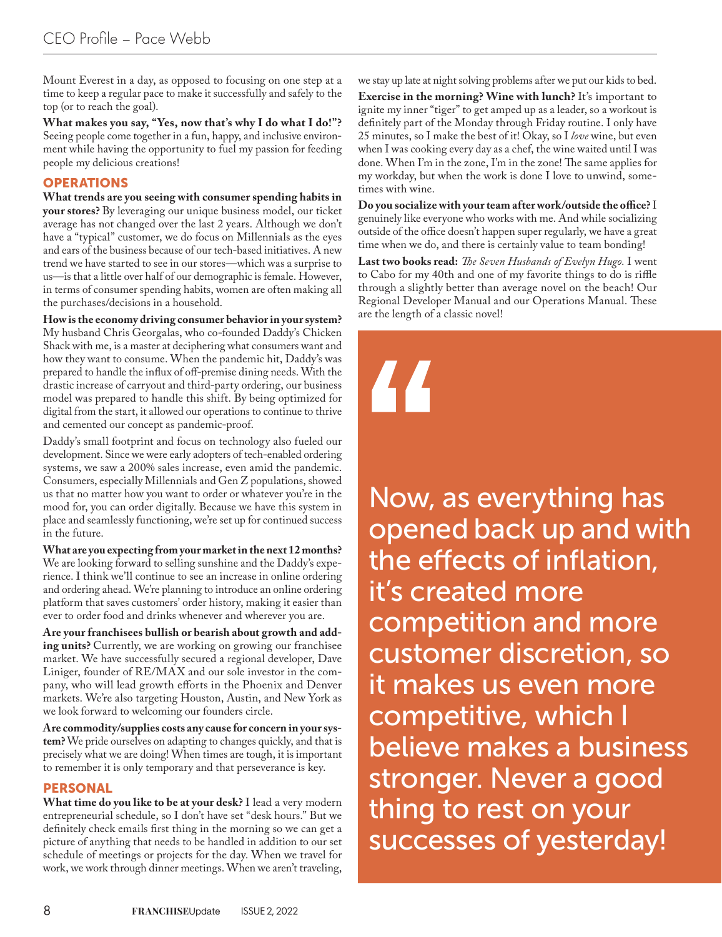Mount Everest in a day, as opposed to focusing on one step at a time to keep a regular pace to make it successfully and safely to the top (or to reach the goal).

**What makes you say, "Yes, now that's why I do what I do!"?** Seeing people come together in a fun, happy, and inclusive environment while having the opportunity to fuel my passion for feeding people my delicious creations!

## OPERATIONS

**What trends are you seeing with consumer spending habits in your stores?** By leveraging our unique business model, our ticket average has not changed over the last 2 years. Although we don't have a "typical" customer, we do focus on Millennials as the eyes and ears of the business because of our tech-based initiatives. A new trend we have started to see in our stores—which was a surprise to us—is that a little over half of our demographic is female. However, in terms of consumer spending habits, women are often making all the purchases/decisions in a household.

**How is the economy driving consumer behavior in your system?**  My husband Chris Georgalas, who co-founded Daddy's Chicken Shack with me, is a master at deciphering what consumers want and how they want to consume. When the pandemic hit, Daddy's was prepared to handle the influx of off-premise dining needs. With the drastic increase of carryout and third-party ordering, our business model was prepared to handle this shift. By being optimized for digital from the start, it allowed our operations to continue to thrive and cemented our concept as pandemic-proof.

Daddy's small footprint and focus on technology also fueled our development. Since we were early adopters of tech-enabled ordering systems, we saw a 200% sales increase, even amid the pandemic. Consumers, especially Millennials and Gen Z populations, showed us that no matter how you want to order or whatever you're in the mood for, you can order digitally. Because we have this system in place and seamlessly functioning, we're set up for continued success in the future.

**What are you expecting from your market in the next 12 months?**  We are looking forward to selling sunshine and the Daddy's experience. I think we'll continue to see an increase in online ordering and ordering ahead. We're planning to introduce an online ordering platform that saves customers' order history, making it easier than ever to order food and drinks whenever and wherever you are.

**Are your franchisees bullish or bearish about growth and adding units?** Currently, we are working on growing our franchisee market. We have successfully secured a regional developer, Dave Liniger, founder of RE/MAX and our sole investor in the company, who will lead growth efforts in the Phoenix and Denver markets. We're also targeting Houston, Austin, and New York as we look forward to welcoming our founders circle.

**Are commodity/supplies costs any cause for concern in your system?** We pride ourselves on adapting to changes quickly, and that is precisely what we are doing! When times are tough, it is important to remember it is only temporary and that perseverance is key.

#### PERSONAL

**What time do you like to be at your desk?** I lead a very modern entrepreneurial schedule, so I don't have set "desk hours." But we definitely check emails first thing in the morning so we can get a picture of anything that needs to be handled in addition to our set schedule of meetings or projects for the day. When we travel for work, we work through dinner meetings. When we aren't traveling,

we stay up late at night solving problems after we put our kids to bed.

**Exercise in the morning? Wine with lunch?** It's important to ignite my inner "tiger" to get amped up as a leader, so a workout is definitely part of the Monday through Friday routine. I only have 25 minutes, so I make the best of it! Okay, so I *love* wine, but even when I was cooking every day as a chef, the wine waited until I was done. When I'm in the zone, I'm in the zone! The same applies for my workday, but when the work is done I love to unwind, sometimes with wine.

Do you socialize with your team after work/outside the office? I genuinely like everyone who works with me. And while socializing outside of the office doesn't happen super regularly, we have a great time when we do, and there is certainly value to team bonding!

Last two books read: The Seven Husbands of Evelyn Hugo. I went to Cabo for my 40th and one of my favorite things to do is riffle through a slightly better than average novel on the beach! Our Regional Developer Manual and our Operations Manual. These are the length of a classic novel!



Now, as everything has opened back up and with the effects of inflation, it's created more competition and more customer discretion, so it makes us even more competitive, which I believe makes a business stronger. Never a good thing to rest on your successes of yesterday!